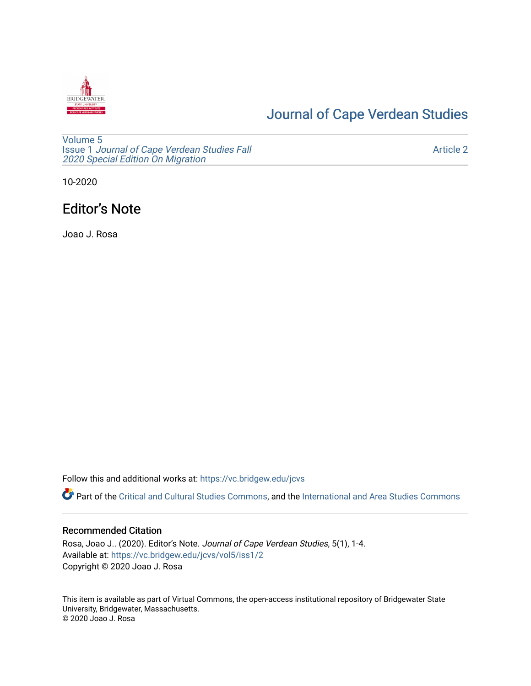

# [Journal of Cape Verdean Studies](https://vc.bridgew.edu/jcvs)

[Volume 5](https://vc.bridgew.edu/jcvs/vol5) Issue 1 [Journal of Cape Verdean Studies Fall](https://vc.bridgew.edu/jcvs/vol5/iss1)  [2020 Special Edition On Migration](https://vc.bridgew.edu/jcvs/vol5/iss1) 

[Article 2](https://vc.bridgew.edu/jcvs/vol5/iss1/2) 

10-2020

# Editor's Note

Joao J. Rosa

Follow this and additional works at: [https://vc.bridgew.edu/jcvs](https://vc.bridgew.edu/jcvs?utm_source=vc.bridgew.edu%2Fjcvs%2Fvol5%2Fiss1%2F2&utm_medium=PDF&utm_campaign=PDFCoverPages) 

Part of the [Critical and Cultural Studies Commons](http://network.bepress.com/hgg/discipline/328?utm_source=vc.bridgew.edu%2Fjcvs%2Fvol5%2Fiss1%2F2&utm_medium=PDF&utm_campaign=PDFCoverPages), and the International and Area Studies Commons

### Recommended Citation

Rosa, Joao J.. (2020). Editor's Note. Journal of Cape Verdean Studies, 5(1), 1-4. Available at: [https://vc.bridgew.edu/jcvs/vol5/iss1/2](https://vc.bridgew.edu/jcvs/vol5/iss1/2?utm_source=vc.bridgew.edu%2Fjcvs%2Fvol5%2Fiss1%2F2&utm_medium=PDF&utm_campaign=PDFCoverPages)  Copyright © 2020 Joao J. Rosa

This item is available as part of Virtual Commons, the open-access institutional repository of Bridgewater State University, Bridgewater, Massachusetts. © 2020 Joao J. Rosa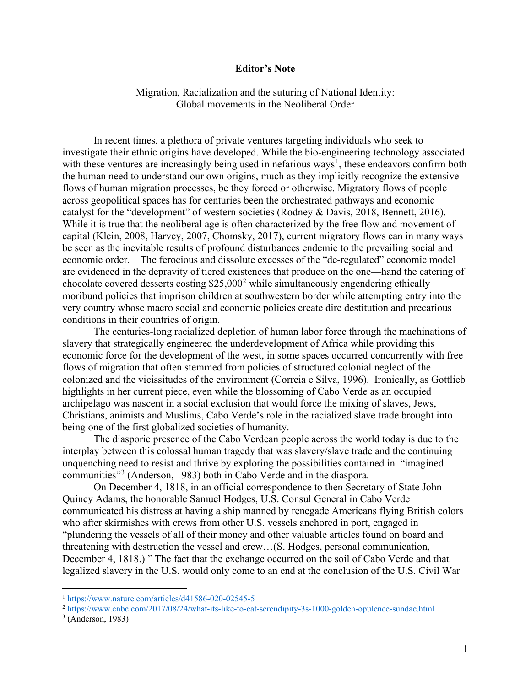#### **Editor's Note**

Migration, Racialization and the suturing of National Identity: Global movements in the Neoliberal Order

In recent times, a plethora of private ventures targeting individuals who seek to investigate their ethnic origins have developed. While the bio-engineering technology associated with these ventures are increasingly being used in nefarious ways<sup>[1](#page-1-0)</sup>, these endeavors confirm both the human need to understand our own origins, much as they implicitly recognize the extensive flows of human migration processes, be they forced or otherwise. Migratory flows of people across geopolitical spaces has for centuries been the orchestrated pathways and economic catalyst for the "development" of western societies (Rodney & Davis, 2018, Bennett, 2016). While it is true that the neoliberal age is often characterized by the free flow and movement of capital (Klein, 2008, Harvey, 2007, Chomsky, 2017), current migratory flows can in many ways be seen as the inevitable results of profound disturbances endemic to the prevailing social and economic order. The ferocious and dissolute excesses of the "de-regulated" economic model are evidenced in the depravity of tiered existences that produce on the one—hand the catering of chocolate covered desserts costing \$[2](#page-1-1)5,000<sup>2</sup> while simultaneously engendering ethically moribund policies that imprison children at southwestern border while attempting entry into the very country whose macro social and economic policies create dire destitution and precarious conditions in their countries of origin.

The centuries-long racialized depletion of human labor force through the machinations of slavery that strategically engineered the underdevelopment of Africa while providing this economic force for the development of the west, in some spaces occurred concurrently with free flows of migration that often stemmed from policies of structured colonial neglect of the colonized and the vicissitudes of the environment (Correia e Silva, 1996). Ironically, as Gottlieb highlights in her current piece, even while the blossoming of Cabo Verde as an occupied archipelago was nascent in a social exclusion that would force the mixing of slaves, Jews, Christians, animists and Muslims, Cabo Verde's role in the racialized slave trade brought into being one of the first globalized societies of humanity.

The diasporic presence of the Cabo Verdean people across the world today is due to the interplay between this colossal human tragedy that was slavery/slave trade and the continuing unquenching need to resist and thrive by exploring the possibilities contained in "imagined communities"[3](#page-1-2) (Anderson, 1983) both in Cabo Verde and in the diaspora.

On December 4, 1818, in an official correspondence to then Secretary of State John Quincy Adams, the honorable Samuel Hodges, U.S. Consul General in Cabo Verde communicated his distress at having a ship manned by renegade Americans flying British colors who after skirmishes with crews from other U.S. vessels anchored in port, engaged in "plundering the vessels of all of their money and other valuable articles found on board and threatening with destruction the vessel and crew…(S. Hodges, personal communication, December 4, 1818.) " The fact that the exchange occurred on the soil of Cabo Verde and that legalized slavery in the U.S. would only come to an end at the conclusion of the U.S. Civil War

<span id="page-1-0"></span><sup>1</sup> <https://www.nature.com/articles/d41586-020-02545-5>

<span id="page-1-1"></span><sup>&</sup>lt;sup>2</sup> <https://www.cnbc.com/2017/08/24/what-its-like-to-eat-serendipity-3s-1000-golden-opulence-sundae.html>

<span id="page-1-2"></span> $3$  (Anderson, 1983)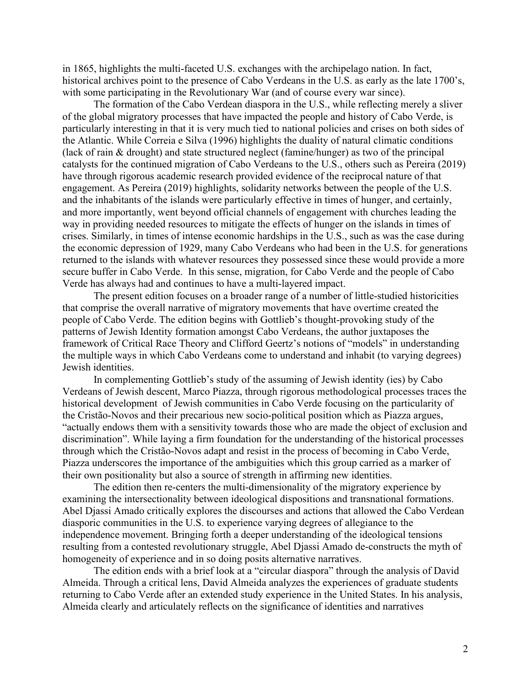in 1865, highlights the multi-faceted U.S. exchanges with the archipelago nation. In fact, historical archives point to the presence of Cabo Verdeans in the U.S. as early as the late 1700's, with some participating in the Revolutionary War (and of course every war since).

The formation of the Cabo Verdean diaspora in the U.S., while reflecting merely a sliver of the global migratory processes that have impacted the people and history of Cabo Verde, is particularly interesting in that it is very much tied to national policies and crises on both sides of the Atlantic. While Correia e Silva (1996) highlights the duality of natural climatic conditions (lack of rain & drought) and state structured neglect (famine/hunger) as two of the principal catalysts for the continued migration of Cabo Verdeans to the U.S., others such as Pereira (2019) have through rigorous academic research provided evidence of the reciprocal nature of that engagement. As Pereira (2019) highlights, solidarity networks between the people of the U.S. and the inhabitants of the islands were particularly effective in times of hunger, and certainly, and more importantly, went beyond official channels of engagement with churches leading the way in providing needed resources to mitigate the effects of hunger on the islands in times of crises. Similarly, in times of intense economic hardships in the U.S., such as was the case during the economic depression of 1929, many Cabo Verdeans who had been in the U.S. for generations returned to the islands with whatever resources they possessed since these would provide a more secure buffer in Cabo Verde. In this sense, migration, for Cabo Verde and the people of Cabo Verde has always had and continues to have a multi-layered impact.

The present edition focuses on a broader range of a number of little-studied historicities that comprise the overall narrative of migratory movements that have overtime created the people of Cabo Verde. The edition begins with Gottlieb's thought-provoking study of the patterns of Jewish Identity formation amongst Cabo Verdeans, the author juxtaposes the framework of Critical Race Theory and Clifford Geertz's notions of "models" in understanding the multiple ways in which Cabo Verdeans come to understand and inhabit (to varying degrees) Jewish identities.

In complementing Gottlieb's study of the assuming of Jewish identity (ies) by Cabo Verdeans of Jewish descent, Marco Piazza, through rigorous methodological processes traces the historical development of Jewish communities in Cabo Verde focusing on the particularity of the Cristão-Novos and their precarious new socio-political position which as Piazza argues, "actually endows them with a sensitivity towards those who are made the object of exclusion and discrimination". While laying a firm foundation for the understanding of the historical processes through which the Cristão-Novos adapt and resist in the process of becoming in Cabo Verde, Piazza underscores the importance of the ambiguities which this group carried as a marker of their own positionality but also a source of strength in affirming new identities.

The edition then re-centers the multi-dimensionality of the migratory experience by examining the intersectionality between ideological dispositions and transnational formations. Abel Djassi Amado critically explores the discourses and actions that allowed the Cabo Verdean diasporic communities in the U.S. to experience varying degrees of allegiance to the independence movement. Bringing forth a deeper understanding of the ideological tensions resulting from a contested revolutionary struggle, Abel Djassi Amado de-constructs the myth of homogeneity of experience and in so doing posits alternative narratives.

The edition ends with a brief look at a "circular diaspora" through the analysis of David Almeida. Through a critical lens, David Almeida analyzes the experiences of graduate students returning to Cabo Verde after an extended study experience in the United States. In his analysis, Almeida clearly and articulately reflects on the significance of identities and narratives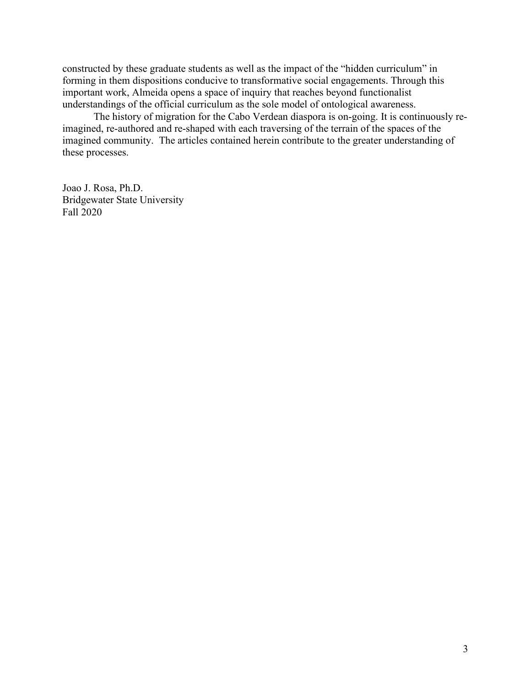constructed by these graduate students as well as the impact of the "hidden curriculum" in forming in them dispositions conducive to transformative social engagements. Through this important work, Almeida opens a space of inquiry that reaches beyond functionalist understandings of the official curriculum as the sole model of ontological awareness.

The history of migration for the Cabo Verdean diaspora is on-going. It is continuously reimagined, re-authored and re-shaped with each traversing of the terrain of the spaces of the imagined community. The articles contained herein contribute to the greater understanding of these processes.

Joao J. Rosa, Ph.D. Bridgewater State University Fall 2020